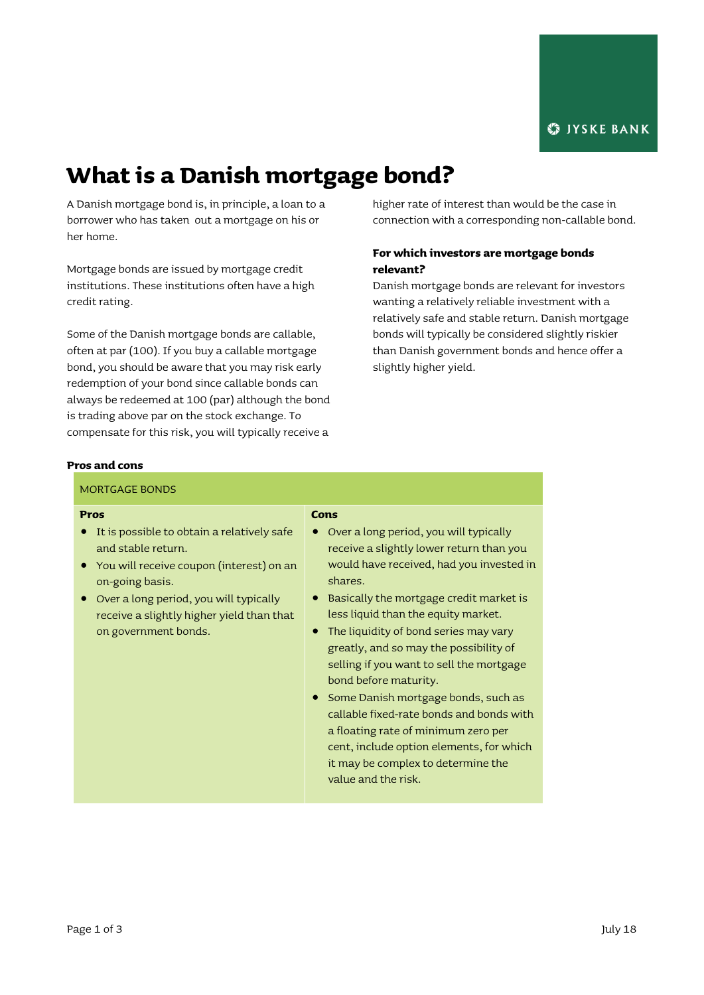# **What is a Danish mortgage bond?**

A Danish mortgage bond is, in principle, a loan to a borrower who has taken out a mortgage on his or her home.

Mortgage bonds are issued by mortgage credit institutions. These institutions often have a high credit rating.

Some of the Danish mortgage bonds are callable, often at par (100). If you buy a callable mortgage bond, you should be aware that you may risk early redemption of your bond since callable bonds can always be redeemed at 100 (par) although the bond is trading above par on the stock exchange. To compensate for this risk, you will typically receive a

higher rate of interest than would be the case in connection with a corresponding non-callable bond.

## **For which investors are mortgage bonds relevant?**

Danish mortgage bonds are relevant for investors wanting a relatively reliable investment with a relatively safe and stable return. Danish mortgage bonds will typically be considered slightly riskier than Danish government bonds and hence offer a slightly higher yield.

#### **Pros and cons**

| <b>MORTGAGE BONDS</b>                                                                                                                                                                                                                                  |                                                                                                                                                                                                                                                                                                                                                                                                                                                                                                                                                                                                                                             |
|--------------------------------------------------------------------------------------------------------------------------------------------------------------------------------------------------------------------------------------------------------|---------------------------------------------------------------------------------------------------------------------------------------------------------------------------------------------------------------------------------------------------------------------------------------------------------------------------------------------------------------------------------------------------------------------------------------------------------------------------------------------------------------------------------------------------------------------------------------------------------------------------------------------|
| Pros<br>It is possible to obtain a relatively safe<br>and stable return.<br>You will receive coupon (interest) on an<br>on-going basis.<br>Over a long period, you will typically<br>receive a slightly higher yield than that<br>on government bonds. | Cons<br>Over a long period, you will typically<br>receive a slightly lower return than you<br>would have received, had you invested in<br>shares.<br>Basically the mortgage credit market is<br>less liquid than the equity market.<br>The liquidity of bond series may vary<br>$\bullet$<br>greatly, and so may the possibility of<br>selling if you want to sell the mortgage<br>bond before maturity.<br>Some Danish mortgage bonds, such as<br>callable fixed-rate bonds and bonds with<br>a floating rate of minimum zero per<br>cent, include option elements, for which<br>it may be complex to determine the<br>value and the risk. |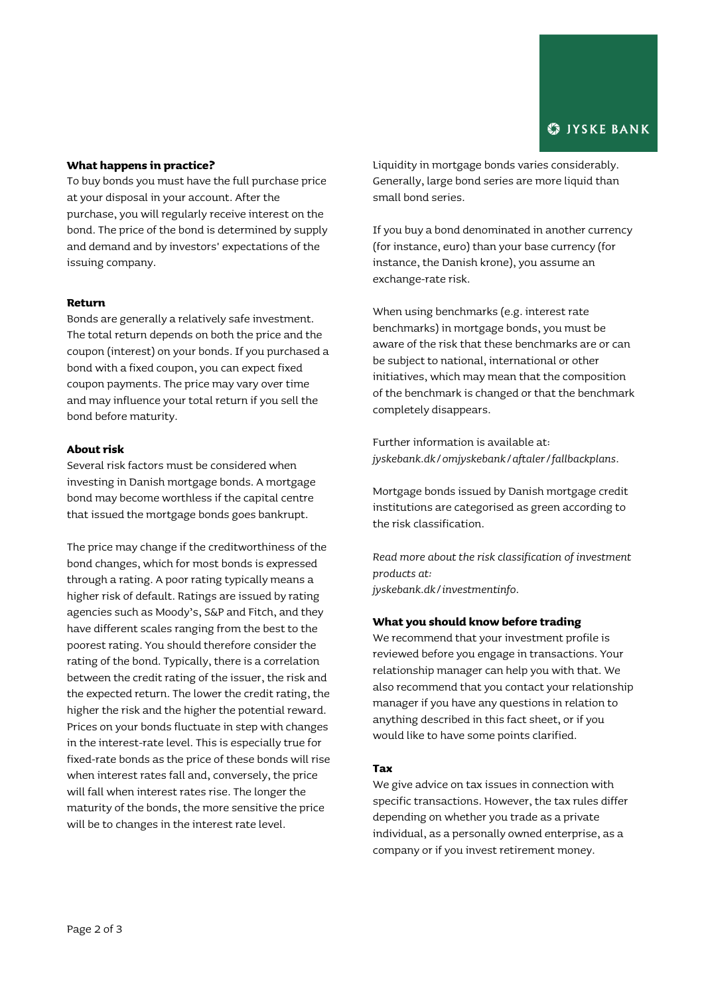### **What happens in practice?**

To buy bonds you must have the full purchase price at your disposal in your account. After the purchase, you will regularly receive interest on the bond. The price of the bond is determined by supply and demand and by investors' expectations of the issuing company.

### **Return**

Bonds are generally a relatively safe investment. The total return depends on both the price and the coupon (interest) on your bonds. If you purchased a bond with a fixed coupon, you can expect fixed coupon payments. The price may vary over time and may influence your total return if you sell the bond before maturity.

#### **About risk**

Several risk factors must be considered when investing in Danish mortgage bonds. A mortgage bond may become worthless if the capital centre that issued the mortgage bonds goes bankrupt.

The price may change if the creditworthiness of the bond changes, which for most bonds is expressed through a rating. A poor rating typically means a higher risk of default. Ratings are issued by rating agencies such as Moody's, S&P and Fitch, and they have different scales ranging from the best to the poorest rating. You should therefore consider the rating of the bond. Typically, there is a correlation between the credit rating of the issuer, the risk and the expected return. The lower the credit rating, the higher the risk and the higher the potential reward. Prices on your bonds fluctuate in step with changes in the interest-rate level. This is especially true for fixed-rate bonds as the price of these bonds will rise when interest rates fall and, conversely, the price will fall when interest rates rise. The longer the maturity of the bonds, the more sensitive the price will be to changes in the interest rate level.

Liquidity in mortgage bonds varies considerably. Generally, large bond series are more liquid than small bond series.

If you buy a bond denominated in another currency (for instance, euro) than your base currency (for instance, the Danish krone), you assume an exchange-rate risk.

When using benchmarks (e.g. interest rate benchmarks) in mortgage bonds, you must be aware of the risk that these benchmarks are or can be subject to national, international or other initiatives, which may mean that the composition of the benchmark is changed or that the benchmark completely disappears.

Further information is available at: *[jyskebank.dk/omjyskebank/aftaler/fallbackplans.](http://www.jyskebank.dk/omjyskebank/aftaler/fallbackplans)*

Mortgage bonds issued by Danish mortgage credit institutions are categorised as green according to the risk classification.

*Read more about the risk classification of investment products at: jyskebank.dk/investmentinfo.*

#### **What you should know before trading**

We recommend that your investment profile is reviewed before you engage in transactions. Your relationship manager can help you with that. We also recommend that you contact your relationship manager if you have any questions in relation to anything described in this fact sheet, or if you would like to have some points clarified.

#### **Tax**

We give advice on tax issues in connection with specific transactions. However, the tax rules differ depending on whether you trade as a private individual, as a personally owned enterprise, as a company or if you invest retirement money.